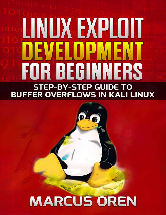# LINUXEXPLOIT DEVELOPMENT **FOR BEGINNERS STEP-BY-STEP GUIDE TO BUFFER OVERFLOWS IN KALI LINUX**

## **MARCUS OREN**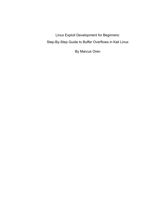<span id="page-1-0"></span>Linux Exploit Development for Beginners: Step-By-Step Guide to Buffer Overflows in Kali Linux

By Marcus Oren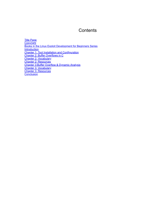## **Contents**

[Title Page](#page-1-0) **[Copyright](#page-3-0)** [Books in the Linux Exploit Development for Beginners Series](#page-4-0) **[Introduction](#page-5-0) [Chapter 1: Tool Installation and Configuration](#page-6-0)** [Chapter 2: Buffer Overflows in C](#page-7-0) [Chapter 2: Vocabulary](#page-11-0) [Chapter 2: Resources](#page-13-0) [Chapter 3:Buffer Overflow & Dynamic Analysis](#page-14-0) [Chapter 3: Vocabulary](#page-19-0) [Chapter 3: Resources](#page-20-0) **[Conclusion](#page-21-0)**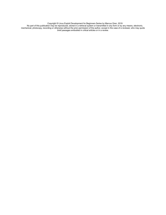Copyright © Linux Exploit Development for Beginners Series by Marcus Oren, 2019

<span id="page-3-0"></span>No part of this publication may be reproduced, stored in a retrieval system or transmitted in any form or by any means, electronic, mechanical, photocopy, recording or otherwise without the prior permission of the author, except in the case of a reviewer, who may quote brief passages embodied in critical articles or in a review.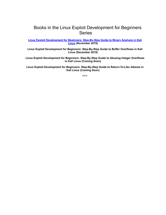## <span id="page-4-0"></span>Books in the Linux Exploit Development for Beginners Series

**[Linux Exploit Development for Beginners: Step-By-Step Guide to Binary Analysis in Kali](https://www.amazon.com/Linux-Exploit-Development-Beginners-Step-ebook/dp/B081K18RPX) Linux (November 2019)**

**Linux Exploit Development for Beginners: Step-By-Step Guide to Buffer Overflows in Kali Linux (December 2019)**

**Linux Exploit Development for Beginners: Step-By-Step Guide to Abusing Integer Overflows in Kali Linux (Coming Soon)**

**Linux Exploit Development for Beginners: Step-By-Step Guide to Return-To-Libc Attacks in Kali Linux (Coming Soon)**

◆◆◆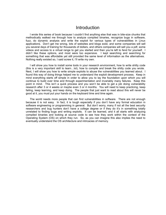## Introduction

<span id="page-5-0"></span>I wrote this series of book because I couldn't find anything else that was in bite-size chunks that methodically walked me through how to analyze compiled binaries, recognize bugs in software, fuzz, do dynamic analysis and write the exploit for various types of vulnerabilities in Linux applications. Don't get me wrong, lots of websites and blogs exist, and some companies will sell you several days of training for thousands of dollars, and others companies will sell you a pdf, some videos and access to a virtual range to get you started and then you're left to fend for yourself. I didn't like these options, and most were too expensive. I kept searching and searching for something that was affordable yet still provided the same level of information as the alternatives. Nothing really existed so, I said screw it, I'll write my own.

I will show you how to install some tools in your research environment, how to write shitty code (this is a very important skill to learn…lol), how to compile and break the shitty code you wrote. Next, I will show you how to write simple exploits to abuse the vulnerabilities you learned about. I found this way of doing things helped me to understand the exploit development process. Keep in mind everything starts off simple in order to allow you to lay the foundation upon which you will continue to build over time and through experimentation and invariably many failures. Keep this point in mind. This isn't a quick process and you won't be able to get a job doing vulnerability research after 3 or 4 weeks or maybe even 3 or 4 months. You will need to keep practicing, keep failing, keep learning, and keep doing. The people that just want to read about this will never be good at it, you must put your hands on the keyboard time and time again.

The world needs more people that can find vulnerabilities in software. There are not enough because it is not easy. In fact, it is tough especially if you don't have any formal education in software engineering or programming in general. But don't worry, many if not all the best security researchers and bug hunters don't have a college degree or if they do it's in something totally unrelated to finding bugs and writing exploits. It can be learned, and it all starts with analyzing compiled binaries and looking at source code to see how they work within the context of the Operating System (OS) on which they run. So, as you can imagine this also implies the need to eventually understand the OS architecture and intricacies of memory.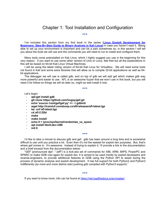## <span id="page-6-0"></span>Chapter 1: Tool Installation and Configuration

◆◆◆

I've included this section from my first book in the series (**Linux Exploit Development for [Beginners: Step-By-Step Guide to Binary Analysis in Kali Linux\)](https://www.amazon.com/Linux-Exploit-Development-Beginners-Step-ebook/dp/B081K18RPX)** in case you haven't read it. Being able to set up your environment is important and can be a pain sometimes so, in this section I will tell you about the tools we will use and the commands you will need to run to install and configure them.

Many tools come preinstalled on Kali Linux, which I highly suggest you use in the beginning for this very reason. If you want to use some other version of Unix or Linux, feel free but all the explanations in this will be based on 64-bit Kali Linux Virtual Machines.

I will be using the latest rolling version of 64-bit Kali Linux for Virtualbox. We will need some tools not found in Kali and some extra libraries that will allow us to compile 32-bit applications as well as 64 bit applications.

The debugger we will use is called gdb, and on top of gdb we will add gef which makes gdb way more powerful and easier to use. AFL is an awesome fuzzer that we won't use in this book, but you will need it for follow-on things we will do later so, might as well install it now.

#### ◆◆◆

Let's begin:

- **apt-get install gdb**
- **git clone https://github.com/hugsy/gef.git**
- **echo 'source /root/gef/gef.py' >> ~/.gdbinit**
- **wget http://lcamtuf.coredump.cx/afl/releases/afl-latest.tgz**
- **tar -xvf afl-latest.tgz**
- **cd afl-2.52b/**
- **make**
- **make install**
- **echo 0 > /proc/sys/kernel/randomize\_va\_space**
- **apt install libc6-dev-i386**
- **init 6**

I'd like to take a minute to discuss gdb and gef. gdb has been around a long time and is somewhat difficult to use until you practice a lot. Even then it's not the easiest for exploit dev purposes. But, that's where gef comes in. It's awesome. Instead of trying to explain it, I'll provide a link to the documentation and a brief excerpt from the documentation below:

◆◆◆

"GEF (pronounced ʤɛf - "Jeff") is a kick-ass set of commands for X86, ARM, MIPS, PowerPC and SPARC to make GDB cool again for exploit dev. It is aimed to be used mostly by exploit developers and reverse-engineers, to provide additional features to GDB using the Python API to assist during the process of dynamic analysis and exploit development. It has full support for both Python2 and Python3 indifferently (as more and more distros start pushing gdb compiled with Python3 support)."

◆◆◆

If you want to know more, info can be found at<https://gef.readthedocs.io/en/master/>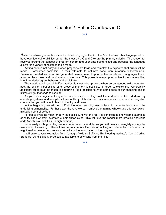## Chapter 2: Buffer Overflows in C

◆◆◆

<span id="page-7-0"></span> $B$ uffer overflows generally exist in low level languages like C. That's not to say other languages don't have overflow vulnerabilities but for the most part, C and C++ are the primary culprits. The reason for revolves around the concept of program control and user data being mixed and because the language allows for a variety of mistakes to be made.

Writing code is not easy and when programs are large and complex it is expected that errors will be made. Sometimes compilers, in their attempts to optimize code, can introduce vulnerabilities. Developer created and compiler generated issues present opportunities for abuse. Languages like C allow for the access and manipulation of memory. This presents many opportunities for errors resulting in unintended program behavior and exploitation.

The classic stack-based buffer overflow is most often present when an unintended write operation past the end of a buffer into other areas of memory is possible. In order to exploit this vulnerability, additional steps must be taken to determine if it is possible to write some code of our choosing and to ultimately get that code to execute.

As you can imagine nothing is as simple as just writing past the end of a buffer. Modern day operating systems and compilers have a litany of built-in security mechanisms or exploit mitigation controls that you will have to learn to identify and defeat.

In the beginning we will turn off all the other security mechanisms in order to learn about the underlying vulnerability. Further down the road we can remove the training wheels and address exploit mitigation control defeats.

I prefer to avoid as much "theory" as possible, however, I feel it is beneficial to show some examples of shitty code wherein overflow vulnerabilities exist. This will give the reader more practice analyzing code (which is a useful skill in high demand).

Code analysis, bug hunting, secure code review, are all terms you will hear and **roughly** convey the same sort of meaning. These three terms connote the idea of looking at code to find problems that might lead to unintended program behavior or the exploitation of the program.

I will draw several examples from Carnegie Mellon's Software Engineering Institute's Cert C Coding Standard, 2016 Edition. Free copies available to download from their site.

◆◆◆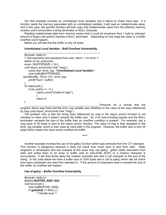Our first example includes an uninitialized local variables and a failure to check input size. If a function reads the memory associated with an uninitialized variable, it will read an indeterminate value, and in this case, the sprintf() function will then copy that indeterminate value from the arbitrary memory location until it encounters a string terminator or NULL character.

Reading indeterminate data from memory means that it could be anywhere from 1 byte to unknown amount of bytes until sprint() reaches a NULL terminator. Depending on how large the value is, a buffer overflow could happen.

Below you will see that the buffer is only 24 bytes.

#### **Uninitialized Local Variable – Buff Overflow Vulnerability**  $\mathcal{L}_\text{max}$  and  $\mathcal{L}_\text{max}$  and  $\mathcal{L}_\text{max}$  and  $\mathcal{L}_\text{max}$  and  $\mathcal{L}_\text{max}$

```
#include <stdio.h>
 /* Get username and password from user, return -1 on error */
 extern int do auth(void);
 enum { BUFFERSIZE = 24 };
 void report_error(const char *msg) {
    const char *error_log; /*Uninitialized Local Variable*/
    char buffer[BUFFERSIZE];
sprintf(buffer, "Error: %s", error_log);
    printf("%s\n", buffer);
 }
 int main(void) { 
    if (do \arctan(1) == -1) {
           report_error("Unable to login"); 
           } 
           return 0;
 }
```
Presume for a minute that the program above was fixed and the error log variable was initialized to the value of the input referenced by msg (void report error(const char \*msg)).

The problem now is that the string input referenced by msg in the report error() function is not checked to make sure it doesn't exceed the buffer size. So, if its size-including spaces and the NULL terminator- exceeds the size of the buffer then an overflow condition is present. For example, say a msg input of 30 bytes is sent to the report\_error() function. The value of msg is then assigned to the error log variable, which is then used as input later in the program. However, the buffer size is only 24 bytes which means the input would overflow the buffer.

◆◆◆

Another example involves the use of the gets() function which was removed from the C11 standard. This function is dangerous because it does not check how much input is sent from stdin. Older programs or developers who are unaware of this issue may use gets(). gets() reads characters from stdin and writes them to an array or buffer until an end-of-file (EOF) or a newline character is encountered. It will then throw away the newline character and add a null character to the end of the string. In the code below we have a buffer size of 1024 bytes and a call to gets() which will not check how many characters are read from standard in. If the amount of characters read in exceed the size of the buffer, an overflow will happen.

#### **Use of gets() – Buffer Overflow Vulnerability**

\_\_\_\_\_\_\_\_\_\_\_\_\_\_\_\_\_\_\_\_\_\_\_\_\_\_\_\_\_\_\_\_\_\_\_\_\_\_\_\_\_\_\_\_\_\_\_\_\_\_

#include <stdio.h> #define **BUFFER\_SIZE 1024** void func(void) { char buf[BUFFER\_SIZE]; if (**gets(buf)** == NULL) { /\* Handle error \*/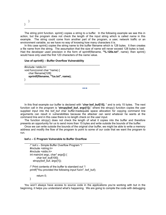} }

The string print function. sprint() copies a string to a buffer. In the following example we see this in action, but the program does not check the length of the input string which is called *name* in this example. The string could come from another part of the program, a user, network traffic or an environment variable, so we have no way of knowing how many characters it is.

In this case sprint() copies the string name to the buffer filename which is 128 bytes. It then creates a file name from the string. The assumption that the size of name will never exceed 128 bytes is bad. Had the developer used precision in the form of sprintf(filename, **"%.120s.txt"**, name); then sprint() would have only used the first 120 characters of the *name* value.

#### **Use of sprintf() – Buffer Overflow Vulnerability**

```
#include <stdio.h> 
void func(const char *name) { 
   char filename[128]; 
   sprintf(filename, "%s.txt", name);
}
```
In this final example our buffer is declared with "**char bof\_buf[15];** " and is only 15 bytes. The next function call in the program is "**strcpy(bof\_buf, argv[1]);**" where the strcpy() function copies the user supplied input into the bof buf char buffer.Inadequate space allocation for copying command line arguments can result in vulnerabilities because the attacker can send whatever he wants at the command line and in this case there is no length check on the user input.

◆◆◆

The function strcpy() does not check the length of what it copies into the buffer and therefore presents an opportunity for us to send more than 15 bytes and write outside the bounds of the buffer. Once we can write outside the bounds of the original char buffer, we might be able to write a memory

address and modify the flow of the program to point to some of our code that we want the program to run.

#### **bof.c – C Program Vulnerable to Buffer Overflow**

```
/* bof.c - Simple Buffer Overflow Program */
#include <string.h>
#include <stdio.h>
int main(int argc, char* argv[]) {
     char bof_buf[100];
   strcpy(bof_buf, argv[1]);
/* Print contents of the buffer to standard out */
printf("You provided the following input:%s\n", bof buf);
```
return 0;

} \_\_\_\_\_\_\_\_\_\_\_\_\_\_\_\_\_\_\_\_\_\_\_\_\_\_\_\_\_\_\_\_\_\_\_\_\_\_\_\_\_\_\_\_\_\_\_\_

You won't always have access to source code in the applications you're working with but in the beginning, it helps you understand what's happening. We are going to compile the code with debugging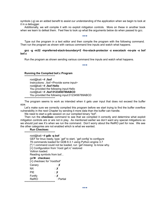symbols (-g) as an added benefit to assist our understanding of the application when we begin to look at it in a debugger.

Additionally, we will compile it with no exploit mitigation controls. More on these in another book when we learn to defeat them. Feel free to look up what the arguments below do when passed to gcc.

◆◆◆

Type out the program in a text editor and then compile the program with the following command. Then run the program as shown with various command line inputs and watch what happens.

#### **gcc -g -m32 -mpreferred-stack-boundary=2 -fno-stack-protector -z execstack -no-pie -o bof bof.c**

Run the program as shown sending various command line inputs and watch what happens.

◆◆◆

#### **Running the Compiled bof.c Program** \*\*\*\*\*\*\*\*\*\*\*\*\*\*\*\*\*\*\*\*\*\*\*\*\*\*\*\*\*

root@kali:~# **./bof** Instructions: ./bof <Provide some input> root@kali:~# **./bof Hello** You provided the following input:Hello root@kali:~# **./bof 0123456789ABCD** You provided the following input:0123456789ABCD \*\*\*\*\*\*\*\*\*\*\*\*\*\*\*\*\*\*\*\*\*\*\*\*\*\*\*\*\*

The program seems to work as intended when it gets user input that does not exceed the buffer size.

Let's make sure we correctly compiled this program before we start trying to find the buffer overflow vulnerability in the next Chapter by sending it more data than the buffer can handle.

We need to start a gdb session on our compiled binary "bof".

Then run the **checksec** command to see that we compiled it correctly and determine what exploit mitigation controls are or are not in play. As mentioned earlier we don't want any special mitigations so we should just see X's when we run the command. Don't worry about the RelRO part for now. We see the other categories are not enabled which is what we wanted.

### **Run Checksec**

\*\*\*\*\*\*\*\*\*\*\*\*\*\*\*\*\*\*\*\*\*\*\*\*\*\*\*\*\*

#### root@kali:~# **gdb -q bof**

GEF for linux ready, type `gef' to start, `gef config' to configure 79 commands loaded for GDB 8.3.1 using Python engine 3.7 [\*] 1 command could not be loaded, run 'gef missing' to know why. [+] Configuration from '/root/.gef.rc' restored Voltron loaded. Reading symbols from bof... gef➤ **checksec** [+] checksec for '/root/bof'

| $\mathbb{F}$ intervection transponsive |           |
|----------------------------------------|-----------|
| Canary                                 | : X       |
| ΝX                                     | : X       |
| PIE                                    | : X       |
| Fortify                                | : X       |
| <b>ReIRO</b>                           | : Partial |
| *****************************          |           |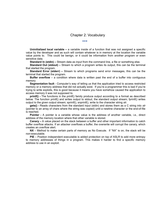#### Chapter 2: Vocabulary

◆◆◆

<span id="page-11-0"></span>**Uninitialized local variable –** a variable inside of a function that was not assigned a specific value by the developer and as such will contain whatever is in memory at the location the variable value points to. This could be benign, or it could be information from another program or even sensitive data.

**Standard In (stdin) –** Stream data as input from the command line, a file or something else.

**Standard Out (stdout) –** Stream to which a program writes its output, this can be the terminal that started the program.

**Standard Error (stderr) –** Stream to which programs send error messages, this can be the terminal that started the program.

**Buffer overflow** – a condition where data is written past the end of a buffer into contiguous memory

**Segmentation fault** - Computer's way of telling us that the application tried to access restricted memory or a memory address that did not actually exist. If you're a programmer this is bad if you're trying to write exploits, this is good because it means you have somehow caused the application to access memory it was not supposed to.

**printf() -** The functions in the printf() family produce output according to a format as described below. The function printf() and writes output to stdout, the standard output stream; fprintf() writes output to the given output stream; sprintf(), snprintf(), write to the character string *str*.

**gets() -** Reads characters from the standard input (stdin) and stores them as a C string into *str* (pointer to an array of chars where the string was copied) until a newline character or the end-of-file is reached.

**Pointer -** A pointer is a variable whose value is the address of another variable, i.e., direct address of the memory location where that other variable is stored.

**Canary –** A value placed on the stack between a buffer and other important information to catch buffer overflow attacks. If an attacker overflows a buffer, the overwrite will corrupt the canary, which creates an overflow alert.

**NX** – Method to make certain parts of memory as No Execute. If "NX" is on, the stack will be non-executable.

**PIE** – Position independent executable is added protection on top of ASLR to add more entropy to memory addresses of things in a program. This makes it harder to find a specific memory address to use in an exploit.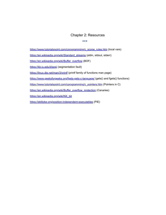#### Chapter 2: Resources

◆◆◆

<span id="page-13-0"></span>[https://www.tutorialspoint.com/cprogramming/c\\_scope\\_rules.htm](https://www.tutorialspoint.com/cprogramming/c_scope_rules.htm) (local vars)

[https://en.wikipedia.org/wiki/Standard\\_streams](https://en.wikipedia.org/wiki/Standard_streams) (stdin, stdout, stderr)

[https://en.wikipedia.org/wiki/Buffer\\_overflow](https://en.wikipedia.org/wiki/Buffer_overflow) (BOF)

<https://kb.iu.edu/d/aqsj> (segmentation fault)

<https://linux.die.net/man/3/printf> (printf family of functions man page)

<https://www.geeksforgeeks.org/fgets-gets-c-language/>(gets() and fgets() functions)

[https://www.tutorialspoint.com/cprogramming/c\\_pointers.htm](https://www.tutorialspoint.com/cprogramming/c_pointers.htm) (Pointers in C)

[https://en.wikipedia.org/wiki/Buffer\\_overflow\\_protection](https://en.wikipedia.org/wiki/Buffer_overflow_protection) (Canaries)

[https://en.wikipedia.org/wiki/NX\\_bit](https://en.wikipedia.org/wiki/NX_bit)

<https://eklitzke.org/position-independent-executables> (PIE)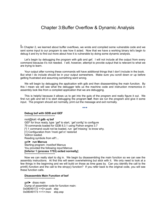## <span id="page-14-0"></span>Chapter 3:Buffer Overflow & Dynamic Analysis

In Chapter 2, we learned about buffer overflows, we wrote and compiled some vulnerable code and we sent some input to our program to see how it acted. Now that we have a working binary let's begin to debug it and try to find out more about how it is vulnerable by doing some dynamic analysis.

Let's begin by debugging the program with gdb and gef. I will not include all the output from every command because it's not needed. I will, however, attempt to provide output that is relevant to what we are trying to learn.

Your output after running these commands will have additional things that I don't include in the book. But what I do include should be in your output somewhere. Make sure you scroll down or up before getting frustrated and assuming something went wrong.

We will begin by debugging the application with gdb and then disassembling the main function. By this I mean we will see what the debugger tells us the machine code and instruction mnemonics in assembly look like from a compiled application that we are debugging.

This is helpful because it allows us to get into the guts of the program and really figure it out. We first run gdb and tell it to start debugging the program **bof**, then we run the program and give it some input. The program should act normally, print out the message and exit normally.

◆◆◆

\*\*\*\*\*\*\*\*\*\*\*\*\*\*\*\*\*\*\*\*\*\*\*\*\*\*\*\*\* root@kali:~# **gdb -q bof** GEF for linux ready, type `gef' to start, `gef config' to configure 79 commands loaded for GDB 8.3.1 using Python engine 3.7 [\*] 1 command could not be loaded, run 'gef missing' to know why. [+] Configuration from '/root/.gef.rc' restored Voltron loaded. Reading symbols from elf1... gef➤ **run Marcus**

Starting program: /root/bof Marcus You provided the following input:Marcus **[Inferior 1 (process 1753) exited normally]** \*\*\*\*\*\*\*\*\*\*\*\*\*\*\*\*\*\*\*\*\*\*\*\*\*\*\*\*\*

**Debug bof with GDB and GEF**

Now we can really start to dig in. We begin by disassembling the main function so we can see the assembly instructions. At first this will seem overwhelming but stick with it. We only need to look at a few things in the beginning and we will build on those as time goes by. Can you identify the call to the printf() function and the call to the strcpy() function? If you refer back to the original code, you will see these function calls.

#### **Disassemble Main Function of bof**

\*\*\*\*\*\*\*\*\*\*\*\*\*\*\*\*\*\*\*\*\*\*\*\*\*\*\*\*\*

gef➤ disas main Dump of assembler code for function main: 0x08049172 <+0>:push ebp 0x08049173 <+1>:mov ebp,esp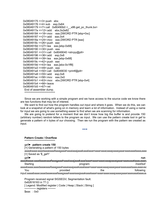```
0x08049175 <+3>:push ebx
0x08049176 <+4>:sub esp,0x64
0x08049179 <+7>:call  0x80490b0 <__ x86.get_pc_thunk.bx>
0x0804917e <+12>:add ebx,0x2e82
0x08049184 <+18>:mov eax,DWORD PTR [ebp+0xc]
0x08049187 <+21>:add eax,0x4
0x0804918a <+24>:mov eax,DWORD PTR [eax]
0x0804918c <+26>:push eax
0x0804918d <+27>:lea eax,[ebp-0x68]
0x08049190 <+30>:push eax
0x08049191 <+31>:call 0x8049040 <strcpy@plt>
0x08049196 <+36>:add esp,0x8
0x08049199 <+39>:lea eax,[ebp-0x68]
0x0804919c <+42>:push eax
0x0804919d <+43>:lea eax,[ebx-0x1ff8]
0x080491a3 <+49>:push eax
0x080491a4 <+50>:call 0x8049030 <printf@plt>
0x080491a9 <+55>:add esp,0x8
0x080491ac <+58>:mov eax,0x0
0x080491b1 <+63>:mov ebx,DWORD PTR [ebp-0x4]
0x080491b4 <+66>:leave
0x080491b5 <+67>:ret 
 End of assembler dump.
 *****************************
```
Since we are working with a simple program and we have access to the source code we know there are two functions that may be of interest.

We want to find out how the program handles out input and where it goes. When we do this, we can look at a snapshot of what's going on in memory and learn a lot of information. Instead of using a name for input we are going to use something easier to find when we are scanning for information.

We are going to pretend for a moment that we don't know how big the buffer is and provide 150 (arbitrary number) random letters to the program as input. We can use the pattern create tool in gef to generate a pattern of n bytes of our choosing. Then we run the program with the pattern we created as input.

◆◆◆

#### **Pattern Create / Overflow**

\*\*\*\*\*\*\*\*\*\*\*\*\*\*\*\*\*\*\*\*\*\*\*\*\*\*\*\*\*

#### gef➤ **pattern create 150**

[+] Generating a pattern of 150 bytes

aaaabaaacaaadaaaeaaafaaagaaahaaaiaaajaaakaaalaaamaaanaaaoaaapaaaqaaaraaasaaataaauaaa [+] Saved as '\$\_gef1'

gef➤ **run**

**aaaabaaacaaadaaaeaaafaaagaaahaaaiaaajaaakaaalaaamaaanaaaoaaapaaaqaaaraaasaaataaauaaav** Starting *resolution* of the program: *//root/bof /root/bof* aaaabaaacaaadaaaeaaafaaagaaahaaaiaaajaaakaaalaaamaaanaaaoaaapaaaqaaaraaasaaataaauaaavaa You the following provided the the following input:aaaabaaacaaadaaaeaaafaaagaaahaaaiaaajaaakaaalaaamaaanaaaoaaapaaaqaaaraaasaaataaauaa

Program received signal SIGSEGV, Segmentation fault. 0x62616163 in ?? () [ Legend: Modified register | Code | Heap | Stack | String ] ────── registers ────

\$eax : 0x0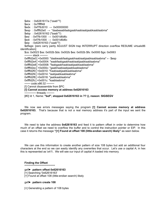\$ebx : 0x6261617a ("zaab"?) \$ecx : 0x7fffff48  $$edx : 0xf7fb3010 \rightarrow 0x00000000$  $\text{Sesp}: 0 \times \text{ffffd2e0} \rightarrow \text{''daabeaabfaabgaabhaabiaabjaabkaablaabma''}$ \$ebp : 0x62616162 ("baab"?)  $\text{Sesi}$  : 0xf7fb1000  $\rightarrow$  0x001d6d6c  $$edi : 0xf7fb1000 \rightarrow 0x001d6d6c$ \$eip : 0x62616163 ("caab"?) \$eflags: [zero carry parity ADJUST SIGN trap INTERRUPT direction overflow RESUME virtualx86 identification] \$cs: 0x0023 \$ss: 0x002b \$ds: 0x002b \$es: 0x002b \$fs: 0x0000 \$gs: 0x0063  $-$  stack  $-$ 0xffffd2e0│+0x0000: "daabeaabfaabgaabhaabiaabjaabkaablaabma" ← \$esp 0xffffd2e4│+0x0004: "eaabfaabgaabhaabiaabjaabkaablaabma" 0xffffd2e8│+0x0008: "faabgaabhaabiaabjaabkaablaabma" 0xffffd2ec│+0x000c: "gaabhaabiaabjaabkaablaabma" 0xffffd2f0│+0x0010: "haabiaabjaabkaablaabma" 0xffffd2f4│+0x0014: "iaabjaabkaablaabma" 0xffffd2f8│+0x0018: "jaabkaablaabma" 0xffffd2fc│+0x001c: "kaablaabma" ─── code:x86:32 ──── [!] Cannot disassemble from \$PC **[!] Cannot access memory at address 0x62616163** ────── threads ──── [#0] Id 1, Name: **"bof", stopped 0x62616163 in ?? (), reason: SIGSEGV**

We now see errors messages saying the program **[!] Cannot access memory at address 0x62616163.** That's because that is not a real memory address it's part of the input we sent the program.

We need to take the address **0x62616163** and feed it to pattern offset in order to determine how much of an offset we need to overflow the buffer and to control the instruction pointer or EIP. In this case it returns the message **"[+] Found at offset 108 (little-endian search) likely"** as seen below.

We can use this information to create another pattern of size 108 bytes but add an additional four characters at the end so we can easily identify any overwrites that occur. Let's use a capital A; in hex this is represented as \x41\. We will see our input of capital A loaded into memory.

**Finding the Offset** \*\*\*\*\*\*\*\*\*\*\*\*\*\*\*\*\*\*\*\*\*\*\*\*\*\*\*\*\*

#### gef➤ **pattern offset 0x62616163**

[+] Searching '0x62616163'

[+] Found at offset 108 (little-endian search) likely

#### gef➤ **pattern create 108**

[+] Generating a pattern of 108 bytes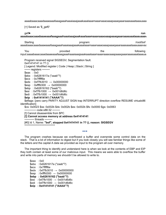aaaabaaacaaadaaaeaaafaaagaaahaaaiaaajaaakaaalaaamaaanaaaoaaapaaaqaaaraaasaaataaauaaa

[+] Saved as '\$\_gef0'

#### gef➤ **run aaaabaaacaaadaaaeaaafaaagaaahaaaiaaajaaakaaalaaamaaanaaaoaaapaaaqaaaraaasaaataaauaaav**

Starting *resolution* of the program: *//root/bof /root/bof* aaaabaaacaaadaaaeaaafaaagaaahaaaiaaajaaakaaalaaamaaanaaaoaaapaaaqaaaraaasaaataaauaaavaa

You the following provided the the following input:aaaabaaacaaadaaaeaaafaaagaaahaaaiaaajaaakaaalaaamaaanaaaoaaapaaaqaaaraaasaaataaauaa

Program received signal SIGSEGV, Segmentation fault. 0x41414141 in ?? () [ Legend: Modified register | Code | Heap | Stack | String ]  $-$  registers -\$eax : 0x0

\$ebx : 0x6261617a ("zaab"?)

\$ecx : 0x7fffff6e

 $\text{Sedx} : 0 \times \text{7fb} 3010 \rightarrow 0 \times 000000000$ 

 $\text{Sesp} : \text{Oxffffd300} \rightarrow \text{Ox00000000}$ 

\$ebp : 0x62616162 ("baab"?)

 $\text{Sesi}$  : 0xf7fb1000  $\rightarrow$  0x001d6d6c

- $$edi : 0xf7fb1000 \rightarrow 0x001d6d6c$
- **\$eip : 0x41414141 ("AAAA"?)**

\$eflags: [zero carry PARITY ADJUST SIGN trap INTERRUPT direction overflow RESUME virtualx86 identification]

\$cs: 0x0023 \$ss: 0x002b \$ds: 0x002b \$es: 0x002b \$fs: 0x0000 \$gs: 0x0063  $-$  code: $x86:32 -$ 

[!] Cannot disassemble from \$PC

**[!] Cannot access memory at address 0x41414141**

 $-$  threads  $-$ 

[#0] Id 1, Name: **"bof", stopped 0x41414141 in ?? (), reason: SIGSEGV** \*\*\*\*\*\*\*\*\*\*\*\*\*\*\*\*\*\*\*\*\*\*\*\*\*\*\*\*\*

The program crashes because we overflowed a buffer and overwrote some control data on the stack. That is a lot of information to digest but if you look closely you will see familiar things like some of the letters and the capital A data we provided as input to the program all over memory.

◆◆◆

The important thing to identify and understand here is when we look at the contents of EBP and EIP they both contain at least some of our malicious input. This means we were able to overflow the buffer and write into parts of memory we shouldn't be allowed to write to.

\$eax : 0x0 \$ebx : 0x6261617a ("zaab"?) \$ecx : 0x7fffff6e  $\text{Sedx} : 0 \times \text{7fb} 3010 \rightarrow 0 \times 000000000$  $\text{Sesp} : \text{Oxffffd300} \rightarrow \text{Ox00000000}$ **\$ebp : 0x62616162 ("baab"?)**  $\text{Sesi}$  : 0xf7fb1000  $\rightarrow$  0x001d6d6c  $$edi : 0xf7fb1000 \rightarrow 0x001d6d6c$ **\$eip : 0x41414141 ("AAAA"?)**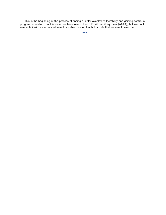This is the beginning of the process of finding a buffer overflow vulnerability and gaining control of program execution. In this case we have overwritten EIP with arbitrary data (AAAA), but we could overwrite it with a memory address to another location that holds code that we want to execute.

◆◆◆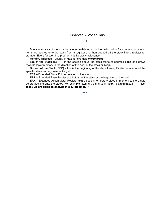#### Chapter 3: Vocabulary

◆◆◆

<span id="page-19-0"></span>**Stack** – an area of memory that stores variables, and other information for a running process. Items are pushed onto the stack from a register and then popped off the stack into a register for storage. Every function in a program has its own stack space.

**Memory Address** – usually in Hex; for example **0x080491c8**

**Top of the Stack (ESP)** – In the section above the stack starts at address **\$ebp** and grows towards lower memory in the direction of the "top" of the stack or **\$esp.** 

**Bottom of the Stack (EBP) –** this is the beginning of the stack frame, it's like the anchor of the specific stack frame you're looking at.

**ESP –** Extended Stack Pointer aka top of the stack

**EBP** – Extended Base Pointer aka bottom of the stack or the beginning of the stack

**EAX** – Extended Accumulator Register aka a special temporary place in memory to store data before pushing onto the stack. For example, storing a string as in **\$eax : 0x0804a024 → "%s, today we are going to analyze this 32-bit bina[...]"**

◆◆◆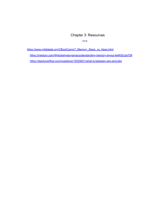## Chapter 3: Resources

◆◆◆

<span id="page-20-0"></span>[https://www.gribblelab.org/CBootCamp/7\\_Memory\\_Stack\\_vs\\_Heap.html](https://www.gribblelab.org/CBootCamp/7_Memory_Stack_vs_Heap.html)

<https://medium.com/@shoheiyokoyama/understanding-memory-layout-4ef452c2e709>

<https://stackoverflow.com/questions/15020621/what-is-between-esp-and-ebp>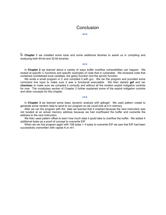## Conclusion

◆◆◆

<span id="page-21-0"></span>In **Chapter 1** we installed some tools and some additional libraries to assist us in compiling and analyzing both 64-bit and 32-bit binaries.

◆◆◆

In **Chapter 2** we learned about a variety of ways buffer overflow vulnerabilities can happen. We looked at specific C functions and specific examples of code that is vulnerable. We reviewed code that contained uninitialized local variables, the gets() function and the sprint() function.

We wrote a small program in C and compiled it with gcc. We ran the program and provided some command line input to make sure it was a functional executable. We then started **gef** and ran **checksec** to make sure we compiled it correctly and without all the modern exploit mitigation controls for now. The vocabulary section of Chapter 2 further explained some of the exploit mitigation controls and other concepts for this chapter.

In **Chapter 3** we learned some basic dynamic analysis with gdb/gef. We used pattern create to generate some random data to send to our program so we could look at it in memory.

◆◆◆

After we ran the program with the data we learned that it crashed because the next instruction was not located at an actual memory address because we had overflowed the buffer and overwrite the address to the next instruction.

We then used pattern offset to learn how much data it qould take to overflow the buffer. We added 4 additional bytes as a proof of concept to overwrite EIP. When we ran the program again with 108 bytes + 4 bytes to overwrite EIP we saw that EIP had been

successfully overwritten with capital A or x41.